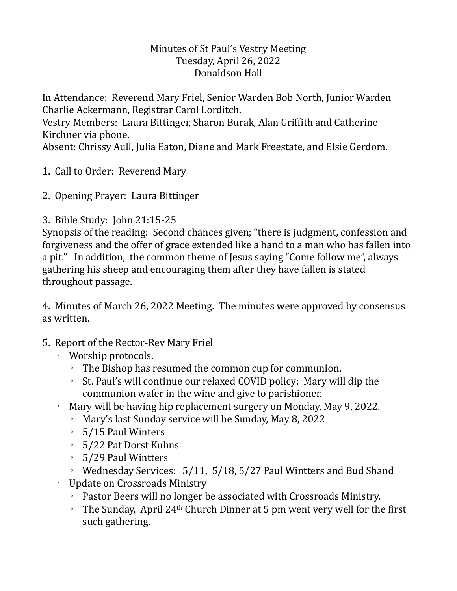## Minutes of St Paul's Vestry Meeting Tuesday, April 26, 2022 Donaldson Hall

In Attendance: Reverend Mary Friel, Senior Warden Bob North, Junior Warden Charlie Ackermann, Registrar Carol Lorditch.

Vestry Members: Laura Bittinger, Sharon Burak, Alan Griffith and Catherine Kirchner via phone.

Absent: Chrissy Aull, Julia Eaton, Diane and Mark Freestate, and Elsie Gerdom.

- 1. Call to Order: Reverend Mary
- 2. Opening Prayer: Laura Bittinger
- 3. Bible Study: John 21:15-25

Synopsis of the reading: Second chances given; "there is judgment, confession and forgiveness and the offer of grace extended like a hand to a man who has fallen into a pit." In addition, the common theme of Jesus saying "Come follow me", always gathering his sheep and encouraging them after they have fallen is stated throughout passage.

4. Minutes of March 26, 2022 Meeting. The minutes were approved by consensus as written.

- 5. Report of the Rector-Rev Mary Friel
	- Worship protocols.
		- The Bishop has resumed the common cup for communion.
		- St. Paul's will continue our relaxed COVID policy: Mary will dip the communion wafer in the wine and give to parishioner.
	- Mary will be having hip replacement surgery on Monday, May 9, 2022.
		- Mary's last Sunday service will be Sunday, May 8, 2022
		- 5/15 Paul Winters
		- 5/22 Pat Dorst Kuhns
		- 5/29 Paul Wintters

◦ Wednesday Services: 5/11, 5/18, 5/27 Paul Wintters and Bud Shand • Update on Crossroads Ministry

- Pastor Beers will no longer be associated with Crossroads Ministry.
- The Sunday, April 24th Church Dinner at 5 pm went very well for the first such gathering.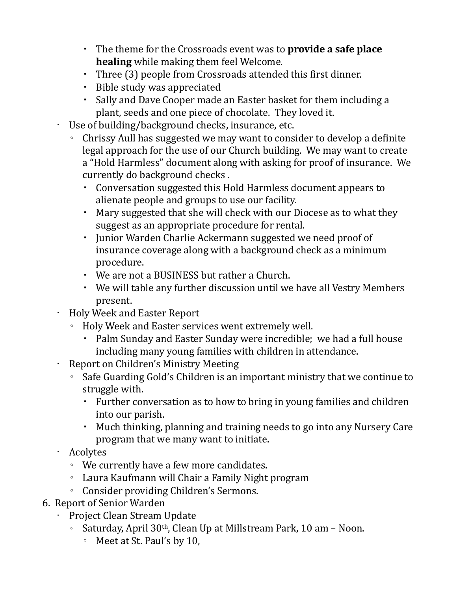- The theme for the Crossroads event was to **provide a safe place healing** while making them feel Welcome.
- Three (3) people from Crossroads attended this first dinner.
- Bible study was appreciated
- Sally and Dave Cooper made an Easter basket for them including a plant, seeds and one piece of chocolate. They loved it.

• Use of building/background checks, insurance, etc.

- Chrissy Aull has suggested we may want to consider to develop a definite legal approach for the use of our Church building. We may want to create a "Hold Harmless" document along with asking for proof of insurance. We currently do background checks .
	- Conversation suggested this Hold Harmless document appears to alienate people and groups to use our facility.
	- Mary suggested that she will check with our Diocese as to what they suggest as an appropriate procedure for rental.
	- Junior Warden Charlie Ackermann suggested we need proof of insurance coverage along with a background check as a minimum procedure.
	- We are not a BUSINESS but rather a Church.
	- We will table any further discussion until we have all Vestry Members present.
- Holy Week and Easter Report
	- Holy Week and Easter services went extremely well.
		- Palm Sunday and Easter Sunday were incredible; we had a full house including many young families with children in attendance.
- Report on Children's Ministry Meeting
	- Safe Guarding Gold's Children is an important ministry that we continue to struggle with.
		- Further conversation as to how to bring in young families and children into our parish.
		- Much thinking, planning and training needs to go into any Nursery Care program that we many want to initiate.
- Acolytes
	- We currently have a few more candidates.
	- Laura Kaufmann will Chair a Family Night program
	- Consider providing Children's Sermons.
- 6. Report of Senior Warden
	- Project Clean Stream Update
		- Saturday, April 30th, Clean Up at Millstream Park, 10 am Noon.
			- Meet at St. Paul's by 10,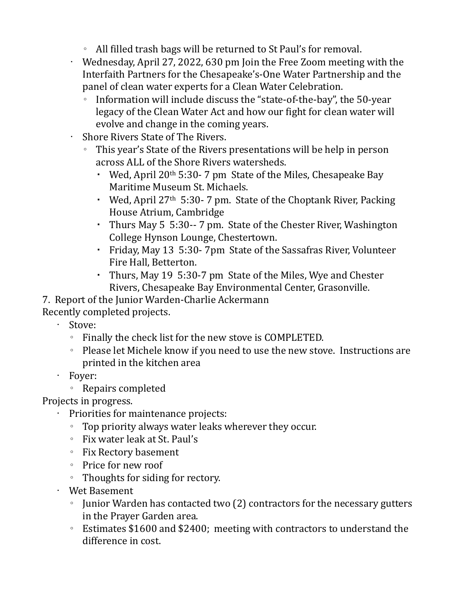- All filled trash bags will be returned to St Paul's for removal.
- Wednesday, April 27, 2022, 630 pm Join the Free Zoom meeting with the Interfaith Partners for the Chesapeake's-One Water Partnership and the panel of clean water experts for a Clean Water Celebration.
	- Information will include discuss the "state-of-the-bay", the 50-year legacy of the Clean Water Act and how our fight for clean water will evolve and change in the coming years.
- Shore Rivers State of The Rivers.
	- This year's State of the Rivers presentations will be help in person across ALL of the Shore Rivers watersheds.
		- Wed, April 20<sup>th</sup> 5:30-7 pm State of the Miles, Chesapeake Bay Maritime Museum St. Michaels.
		- Wed, April 27<sup>th</sup> 5:30-7 pm. State of the Choptank River, Packing House Atrium, Cambridge
		- Thurs May 5 5:30-- 7 pm. State of the Chester River, Washington College Hynson Lounge, Chestertown.
		- Friday, May 13 5:30- 7pm State of the Sassafras River, Volunteer Fire Hall, Betterton.
		- Thurs, May 19 5:30-7 pm State of the Miles, Wye and Chester Rivers, Chesapeake Bay Environmental Center, Grasonville.
- 7. Report of the Junior Warden-Charlie Ackermann

Recently completed projects.

- Stove:
	- Finally the check list for the new stove is COMPLETED.
	- Please let Michele know if you need to use the new stove. Instructions are printed in the kitchen area
- Foyer:
	- Repairs completed

Projects in progress.

- Priorities for maintenance projects:
	- Top priority always water leaks wherever they occur.
	- Fix water leak at St. Paul's
	- Fix Rectory basement
	- Price for new roof
	- Thoughts for siding for rectory.
- Wet Basement
	- Junior Warden has contacted two (2) contractors for the necessary gutters in the Prayer Garden area.
	- Estimates \$1600 and \$2400; meeting with contractors to understand the difference in cost.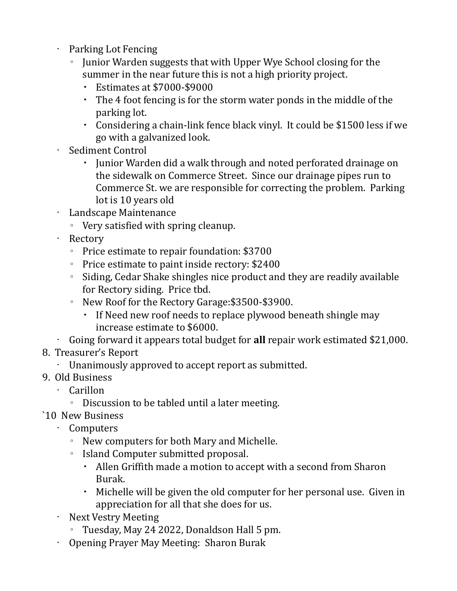- Parking Lot Fencing
	- Junior Warden suggests that with Upper Wye School closing for the summer in the near future this is not a high priority project.
		- Estimates at \$7000-\$9000
		- The 4 foot fencing is for the storm water ponds in the middle of the parking lot.
		- Considering a chain-link fence black vinyl. It could be \$1500 less if we go with a galvanized look.
- Sediment Control
	- Junior Warden did a walk through and noted perforated drainage on the sidewalk on Commerce Street. Since our drainage pipes run to Commerce St. we are responsible for correcting the problem. Parking lot is 10 years old
- Landscape Maintenance
	- Very satisfied with spring cleanup.
- Rectory
	- Price estimate to repair foundation: \$3700
	- Price estimate to paint inside rectory: \$2400
	- Siding, Cedar Shake shingles nice product and they are readily available for Rectory siding. Price tbd.
	- New Roof for the Rectory Garage:\$3500-\$3900.
		- If Need new roof needs to replace plywood beneath shingle may increase estimate to \$6000.
- Going forward it appears total budget for **all** repair work estimated \$21,000.
- 8. Treasurer's Report
	- Unanimously approved to accept report as submitted.
- 9. Old Business
	- Carillon
		- Discussion to be tabled until a later meeting.
- `10 New Business
	- Computers
		- New computers for both Mary and Michelle.
		- Island Computer submitted proposal.
			- Allen Griffith made a motion to accept with a second from Sharon Burak.
			- Michelle will be given the old computer for her personal use. Given in appreciation for all that she does for us.
	- Next Vestry Meeting
		- Tuesday, May 24 2022, Donaldson Hall 5 pm.
	- Opening Prayer May Meeting: Sharon Burak